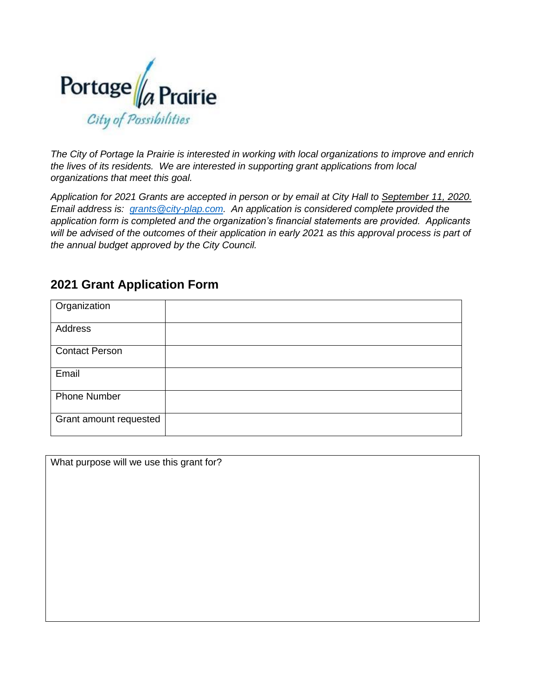

*The City of Portage la Prairie is interested in working with local organizations to improve and enrich the lives of its residents. We are interested in supporting grant applications from local organizations that meet this goal.*

*Application for 2021 Grants are accepted in person or by email at City Hall to September 11, 2020. Email address is: [grants@city-plap.com.](mailto:grants@city-plap.com) An application is considered complete provided the application form is completed and the organization's financial statements are provided. Applicants will be advised of the outcomes of their application in early 2021 as this approval process is part of the annual budget approved by the City Council.*

|  |  |  | <b>2021 Grant Application Form</b> |  |  |
|--|--|--|------------------------------------|--|--|
|--|--|--|------------------------------------|--|--|

| Organization           |  |
|------------------------|--|
| Address                |  |
| <b>Contact Person</b>  |  |
| Email                  |  |
| <b>Phone Number</b>    |  |
| Grant amount requested |  |

What purpose will we use this grant for?